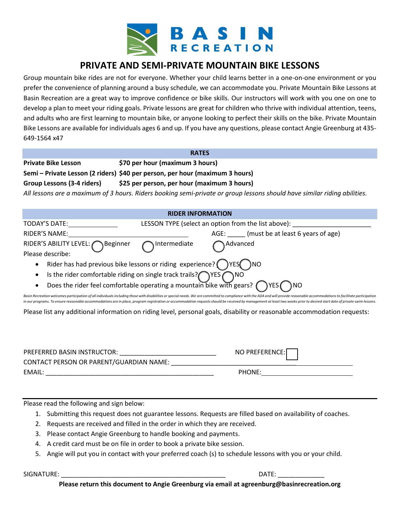

## **PRIVATE AND SEMI-PRIVATE MOUNTAIN BIKE LESSONS**

Group mountain bike rides are not for everyone. Whether your child learns better in a one-on-one environment or you prefer the convenience of planning around a busy schedule, we can accommodate you. Private Mountain Bike Lessons at Basin Recreation are a great way to improve confidence or bike skills. Our instructors will work with you one on one to develop a plan to meet your riding goals. Private lessons are great for children who thrive with individual attention, teens, and adults who are first learning to mountain bike, or anyone looking to perfect their skills on the bike. Private Mountain Bike Lessons are available for individuals ages 6 and up. If you have any questions, please contact Angie Greenburg at 435- 649-1564 x47

| <b>RATES</b>                                                                                                             |                                             |  |  |
|--------------------------------------------------------------------------------------------------------------------------|---------------------------------------------|--|--|
|                                                                                                                          |                                             |  |  |
| <b>Private Bike Lesson</b>                                                                                               | \$70 per hour (maximum 3 hours)             |  |  |
|                                                                                                                          |                                             |  |  |
| Semi – Private Lesson (2 riders) \$40 per person, per hour (maximum 3 hours)                                             |                                             |  |  |
| Group Lessons (3-4 riders)                                                                                               | \$25 per person, per hour (maximum 3 hours) |  |  |
|                                                                                                                          |                                             |  |  |
| All lessons are a maximum of 3 hours. Riders booking semi-private or group lessons should have similar riding abilities. |                                             |  |  |

| <b>RIDER INFORMATION</b> |
|--------------------------|
|--------------------------|

| TODAY'S DATE:                                                                        | LESSON TYPE (select an option from the list above): |          |                                        |  |  |  |
|--------------------------------------------------------------------------------------|-----------------------------------------------------|----------|----------------------------------------|--|--|--|
| RIDER'S NAME:                                                                        |                                                     |          | AGE: (must be at least 6 years of age) |  |  |  |
| RIDER'S ABILITY LEVEL: Beginner nitermediate                                         |                                                     | Advanced |                                        |  |  |  |
| Please describe:                                                                     |                                                     |          |                                        |  |  |  |
| Rider has had previous bike lessons or riding experience? $\bigcap$ YES $\bigcap$ NO |                                                     |          |                                        |  |  |  |
| • Is the rider comfortable riding on single track trails? $\bigcap$ YES $\bigcap$ NO |                                                     |          |                                        |  |  |  |

Does the rider feel comfortable operating a mountain bike with gears?  $\bigcap$  YES  $\bigcap$  NO

Basin Recreation welcomes participation of all individuals including those with disabilities or special needs. We are committed to compliance with the ADA and will provide reasonable accommodations to facilitate participat in our programs. To ensure reasonable accommodations are in place, program registration or accommodation requests should be received by management at least two weeks prior to desired start date of private swim lessons.

Please list any additional information on riding level, personal goals, disability or reasonable accommodation requests:

| PREFERRED BASIN INSTRUCTOR:             | NO PREFERENCE: |
|-----------------------------------------|----------------|
| CONTACT PERSON OR PARENT/GUARDIAN NAME: |                |
| EMAIL:                                  | PHONE:         |

Please read the following and sign below:

- 1. Submitting this request does not guarantee lessons. Requests are filled based on availability of coaches.
- 2. Requests are received and filled in the order in which they are received.
- 3. Please contact Angie Greenburg to handle booking and payments.
- 4. A credit card must be on file in order to book a private bike session.
- 5. Angie will put you in contact with your preferred coach (s) to schedule lessons with you or your child.

 ${\sf SIGNATURE:} \begin{minipage}[h]{0.9\linewidth} \centering \begin{minipage}[h]{0.9\linewidth} \centering \end{minipage} \begin{minipage}[h]{0.9\linewidth} \centering \end{minipage} \begin{minipage}[h]{0.9\linewidth} \centering \end{minipage} \begin{minipage}[h]{0.9\linewidth} \centering \end{minipage} \begin{minipage}[h]{0.9\linewidth} \centering \end{minipage} \begin{minipage}[h]{0.9\linewidth} \centering \end{minipage} \begin{minipage}[h]{0.9\linewidth} \centering \end{minipage} \begin{minipage}[h]{0.9\linewidth} \centering \end{min$ 

**Please return this document to Angie Greenburg via email at agreenburg@basinrecreation.org**